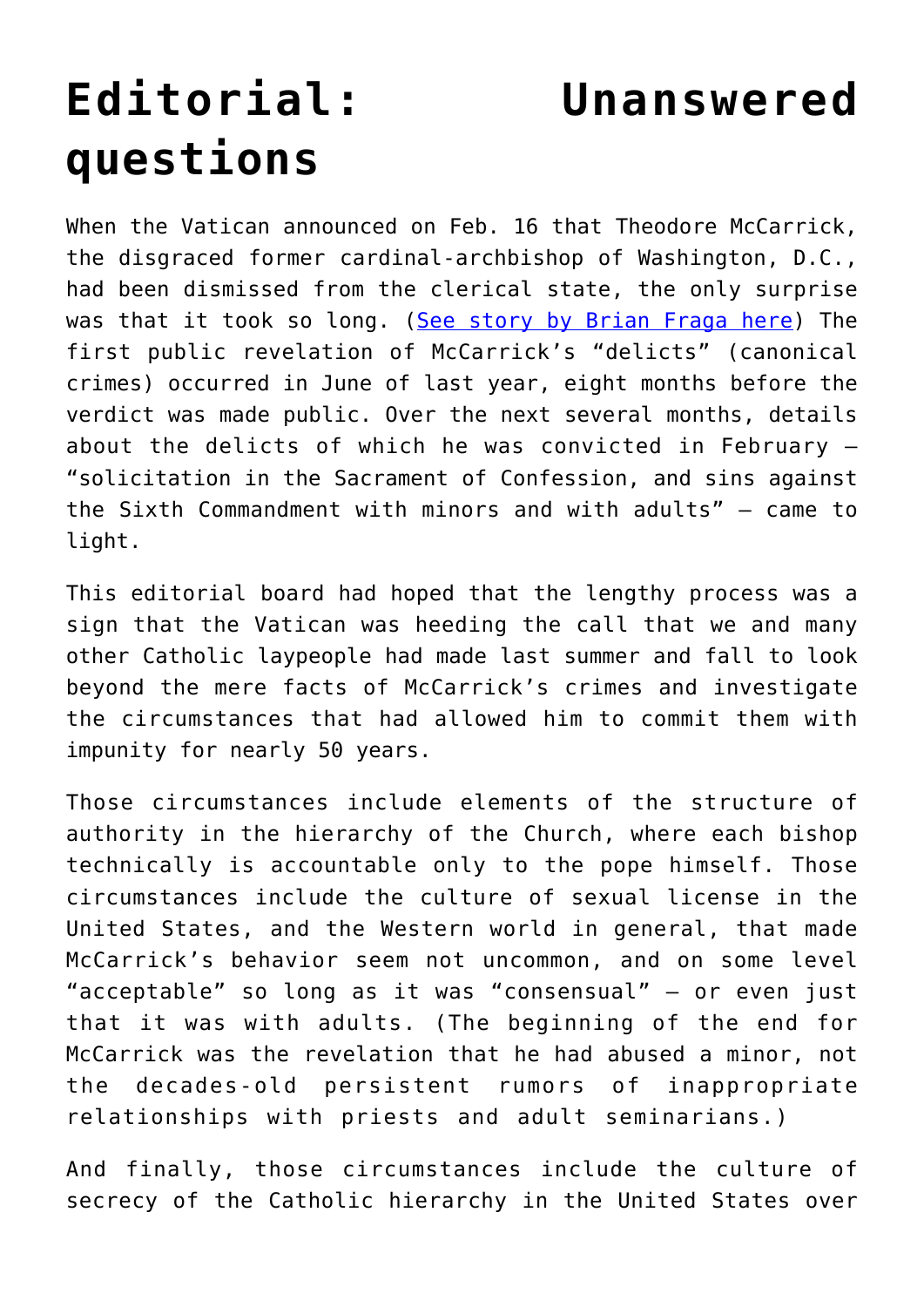## **[Editorial: Unanswered](https://www.osvnews.com/2019/02/20/editorial-unanswered-questions/) [questions](https://www.osvnews.com/2019/02/20/editorial-unanswered-questions/)**

When the Vatican announced on Feb. 16 that Theodore McCarrick, the disgraced former cardinal-archbishop of Washington, D.C., had been dismissed from the clerical state, the only surprise was that it took so long. ([See story by Brian Fraga here](http://www.osvnews.com/2019/02/19/former-cardinal-theodore-mccarrick-removed-from-the-clerical-state/)) The first public revelation of McCarrick's "delicts" (canonical crimes) occurred in June of last year, eight months before the verdict was made public. Over the next several months, details about the delicts of which he was convicted in February — "solicitation in the Sacrament of Confession, and sins against the Sixth Commandment with minors and with adults" — came to light.

This editorial board had hoped that the lengthy process was a sign that the Vatican was heeding the call that we and many other Catholic laypeople had made last summer and fall to look beyond the mere facts of McCarrick's crimes and investigate the circumstances that had allowed him to commit them with impunity for nearly 50 years.

Those circumstances include elements of the structure of authority in the hierarchy of the Church, where each bishop technically is accountable only to the pope himself. Those circumstances include the culture of sexual license in the United States, and the Western world in general, that made McCarrick's behavior seem not uncommon, and on some level "acceptable" so long as it was "consensual" — or even just that it was with adults. (The beginning of the end for McCarrick was the revelation that he had abused a minor, not the decades-old persistent rumors of inappropriate relationships with priests and adult seminarians.)

And finally, those circumstances include the culture of secrecy of the Catholic hierarchy in the United States over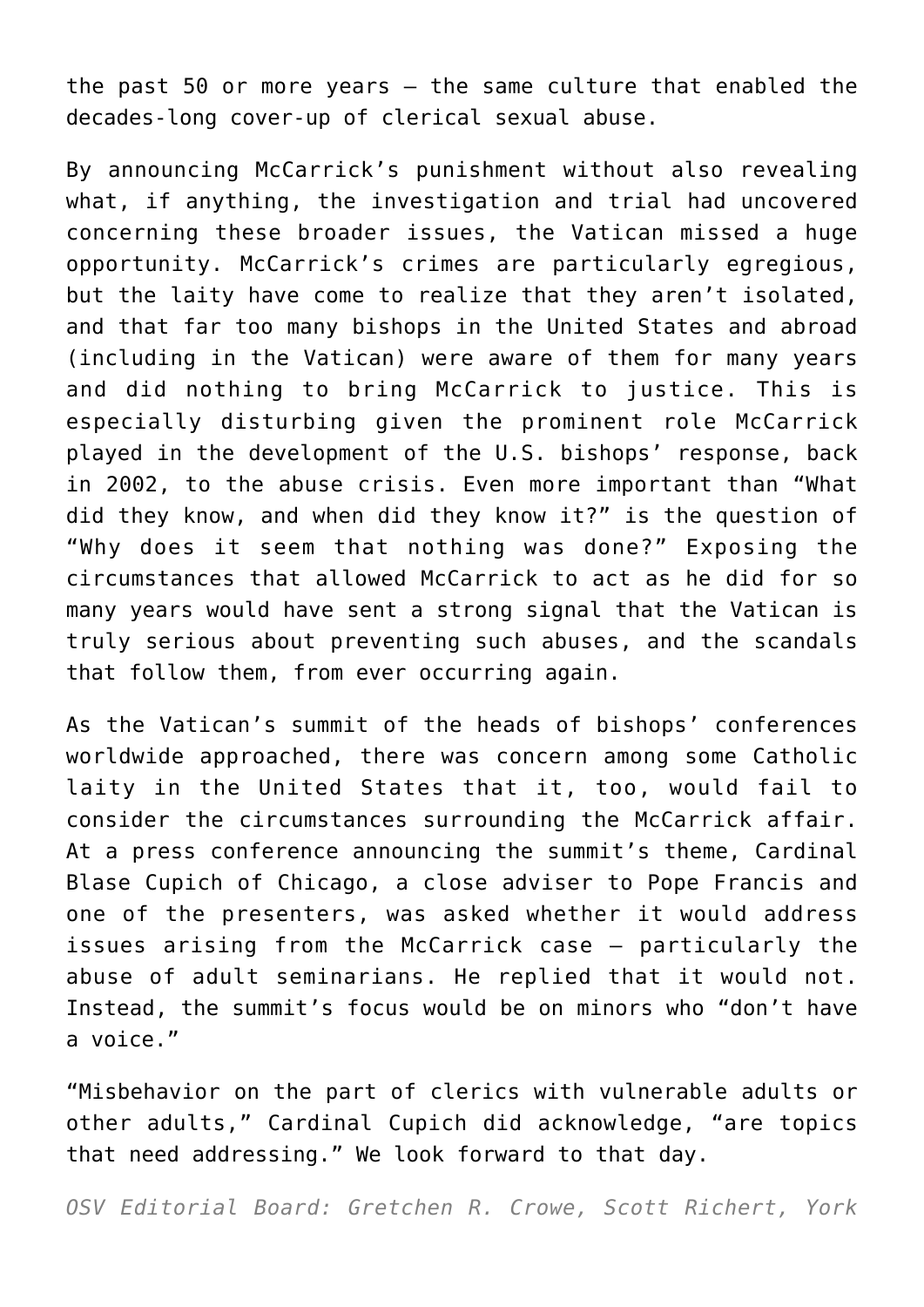the past 50 or more years  $-$  the same culture that enabled the decades-long cover-up of clerical sexual abuse.

By announcing McCarrick's punishment without also revealing what, if anything, the investigation and trial had uncovered concerning these broader issues, the Vatican missed a huge opportunity. McCarrick's crimes are particularly egregious, but the laity have come to realize that they aren't isolated, and that far too many bishops in the United States and abroad (including in the Vatican) were aware of them for many years and did nothing to bring McCarrick to justice. This is especially disturbing given the prominent role McCarrick played in the development of the U.S. bishops' response, back in 2002, to the abuse crisis. Even more important than "What did they know, and when did they know it?" is the question of "Why does it seem that nothing was done?" Exposing the circumstances that allowed McCarrick to act as he did for so many years would have sent a strong signal that the Vatican is truly serious about preventing such abuses, and the scandals that follow them, from ever occurring again.

As the Vatican's summit of the heads of bishops' conferences worldwide approached, there was concern among some Catholic laity in the United States that it, too, would fail to consider the circumstances surrounding the McCarrick affair. At a press conference announcing the summit's theme, Cardinal Blase Cupich of Chicago, a close adviser to Pope Francis and one of the presenters, was asked whether it would address issues arising from the McCarrick case — particularly the abuse of adult seminarians. He replied that it would not. Instead, the summit's focus would be on minors who "don't have a voice."

"Misbehavior on the part of clerics with vulnerable adults or other adults," Cardinal Cupich did acknowledge, "are topics that need addressing." We look forward to that day.

*OSV Editorial Board: Gretchen R. Crowe, Scott Richert, York*